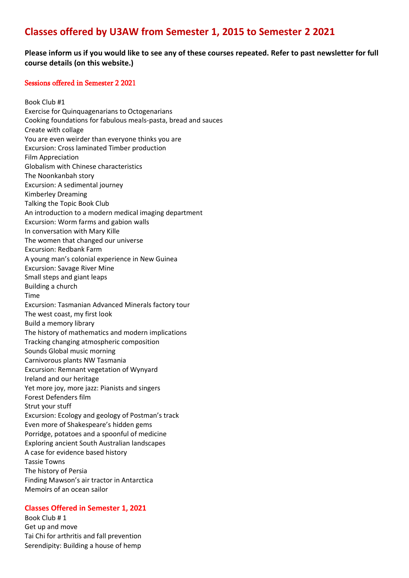# **Classes offered by U3AW from Semester 1, 2015 to Semester 2 2021**

# **Please inform us if you would like to see any of these courses repeated. Refer to past newsletter for full course details (on this website.)**

### Sessions offered in Semester 2 2021

Book Club #1 Exercise for Quinquagenarians to Octogenarians Cooking foundations for fabulous meals-pasta, bread and sauces Create with collage You are even weirder than everyone thinks you are Excursion: Cross laminated Timber production Film Appreciation Globalism with Chinese characteristics The Noonkanbah story Excursion: A sedimental journey Kimberley Dreaming Talking the Topic Book Club An introduction to a modern medical imaging department Excursion: Worm farms and gabion walls In conversation with Mary Kille The women that changed our universe Excursion: Redbank Farm A young man's colonial experience in New Guinea Excursion: Savage River Mine Small steps and giant leaps Building a church Time Excursion: Tasmanian Advanced Minerals factory tour The west coast, my first look Build a memory library The history of mathematics and modern implications Tracking changing atmospheric composition Sounds Global music morning Carnivorous plants NW Tasmania Excursion: Remnant vegetation of Wynyard Ireland and our heritage Yet more joy, more jazz: Pianists and singers Forest Defenders film Strut your stuff Excursion: Ecology and geology of Postman's track Even more of Shakespeare's hidden gems Porridge, potatoes and a spoonful of medicine Exploring ancient South Australian landscapes A case for evidence based history Tassie Towns The history of Persia Finding Mawson's air tractor in Antarctica Memoirs of an ocean sailor

#### **Classes Offered in Semester 1, 2021**

Book Club # 1 Get up and move Tai Chi for arthritis and fall prevention Serendipity: Building a house of hemp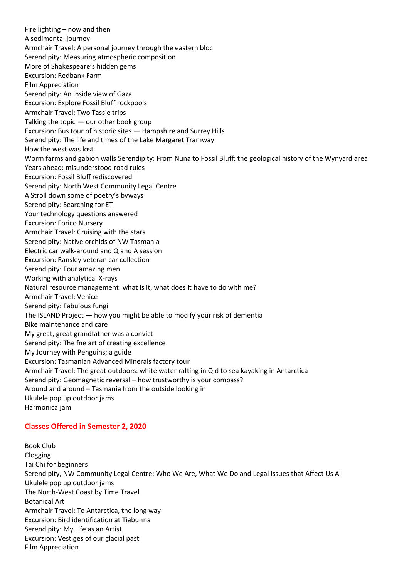Fire lighting – now and then A sedimental journey Armchair Travel: A personal journey through the eastern bloc Serendipity: Measuring atmospheric composition More of Shakespeare's hidden gems Excursion: Redbank Farm Film Appreciation Serendipity: An inside view of Gaza Excursion: Explore Fossil Bluff rockpools Armchair Travel: Two Tassie trips Talking the topic — our other book group Excursion: Bus tour of historic sites — Hampshire and Surrey Hills Serendipity: The life and times of the Lake Margaret Tramway How the west was lost Worm farms and gabion walls Serendipity: From Nuna to Fossil Bluff: the geological history of the Wynyard area Years ahead: misunderstood road rules Excursion: Fossil Bluff rediscovered Serendipity: North West Community Legal Centre A Stroll down some of poetry's byways Serendipity: Searching for ET Your technology questions answered Excursion: Forico Nursery Armchair Travel: Cruising with the stars Serendipity: Native orchids of NW Tasmania Electric car walk-around and Q and A session Excursion: Ransley veteran car collection Serendipity: Four amazing men Working with analytical X-rays Natural resource management: what is it, what does it have to do with me? Armchair Travel: Venice Serendipity: Fabulous fungi The ISLAND Project — how you might be able to modify your risk of dementia Bike maintenance and care My great, great grandfather was a convict Serendipity: The fne art of creating excellence My Journey with Penguins; a guide Excursion: Tasmanian Advanced Minerals factory tour Armchair Travel: The great outdoors: white water rafting in Qld to sea kayaking in Antarctica Serendipity: Geomagnetic reversal – how trustworthy is your compass? Around and around – Tasmania from the outside looking in Ukulele pop up outdoor jams Harmonica jam

## **Classes Offered in Semester 2, 2020**

Book Club Clogging Tai Chi for beginners Serendipity, NW Community Legal Centre: Who We Are, What We Do and Legal Issues that Affect Us All Ukulele pop up outdoor jams The North-West Coast by Time Travel Botanical Art Armchair Travel: To Antarctica, the long way Excursion: Bird identification at Tiabunna Serendipity: My Life as an Artist Excursion: Vestiges of our glacial past Film Appreciation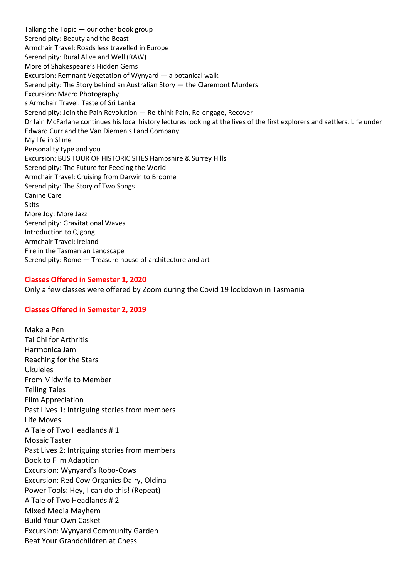Talking the Topic — our other book group Serendipity: Beauty and the Beast Armchair Travel: Roads less travelled in Europe Serendipity: Rural Alive and Well (RAW) More of Shakespeare's Hidden Gems Excursion: Remnant Vegetation of Wynyard — a botanical walk Serendipity: The Story behind an Australian Story — the Claremont Murders Excursion: Macro Photography s Armchair Travel: Taste of Sri Lanka Serendipity: Join the Pain Revolution — Re-think Pain, Re-engage, Recover Dr Iain McFarlane continues his local history lectures looking at the lives of the first explorers and settlers. Life under Edward Curr and the Van Diemen's Land Company My life in Slime Personality type and you Excursion: BUS TOUR OF HISTORIC SITES Hampshire & Surrey Hills Serendipity: The Future for Feeding the World Armchair Travel: Cruising from Darwin to Broome Serendipity: The Story of Two Songs Canine Care **Skits** More Joy: More Jazz Serendipity: Gravitational Waves Introduction to Qigong Armchair Travel: Ireland Fire in the Tasmanian Landscape Serendipity: Rome — Treasure house of architecture and art

#### **Classes Offered in Semester 1, 2020**

Only a few classes were offered by Zoom during the Covid 19 lockdown in Tasmania

#### **Classes Offered in Semester 2, 2019**

Make a Pen Tai Chi for Arthritis Harmonica Jam Reaching for the Stars Ukuleles From Midwife to Member Telling Tales Film Appreciation Past Lives 1: Intriguing stories from members Life Moves A Tale of Two Headlands # 1 Mosaic Taster Past Lives 2: Intriguing stories from members Book to Film Adaption Excursion: Wynyard's Robo-Cows Excursion: Red Cow Organics Dairy, Oldina Power Tools: Hey, I can do this! (Repeat) A Tale of Two Headlands # 2 Mixed Media Mayhem Build Your Own Casket Excursion: Wynyard Community Garden Beat Your Grandchildren at Chess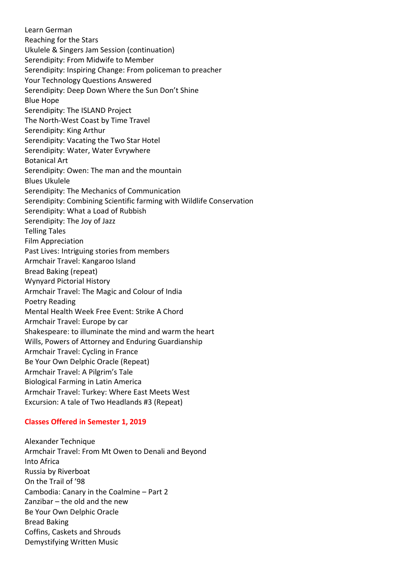Learn German Reaching for the Stars Ukulele & Singers Jam Session (continuation) Serendipity: From Midwife to Member Serendipity: Inspiring Change: From policeman to preacher Your Technology Questions Answered Serendipity: Deep Down Where the Sun Don't Shine Blue Hope Serendipity: The ISLAND Project The North-West Coast by Time Travel Serendipity: King Arthur Serendipity: Vacating the Two Star Hotel Serendipity: Water, Water Evrywhere Botanical Art Serendipity: Owen: The man and the mountain Blues Ukulele Serendipity: The Mechanics of Communication Serendipity: Combining Scientific farming with Wildlife Conservation Serendipity: What a Load of Rubbish Serendipity: The Joy of Jazz Telling Tales Film Appreciation Past Lives: Intriguing stories from members Armchair Travel: Kangaroo Island Bread Baking (repeat) Wynyard Pictorial History Armchair Travel: The Magic and Colour of India Poetry Reading Mental Health Week Free Event: Strike A Chord Armchair Travel: Europe by car Shakespeare: to illuminate the mind and warm the heart Wills, Powers of Attorney and Enduring Guardianship Armchair Travel: Cycling in France Be Your Own Delphic Oracle (Repeat) Armchair Travel: A Pilgrim's Tale Biological Farming in Latin America Armchair Travel: Turkey: Where East Meets West Excursion: A tale of Two Headlands #3 (Repeat)

#### **Classes Offered in Semester 1, 2019**

Alexander Technique Armchair Travel: From Mt Owen to Denali and Beyond Into Africa Russia by Riverboat On the Trail of '98 Cambodia: Canary in the Coalmine – Part 2 Zanzibar – the old and the new Be Your Own Delphic Oracle Bread Baking Coffins, Caskets and Shrouds Demystifying Written Music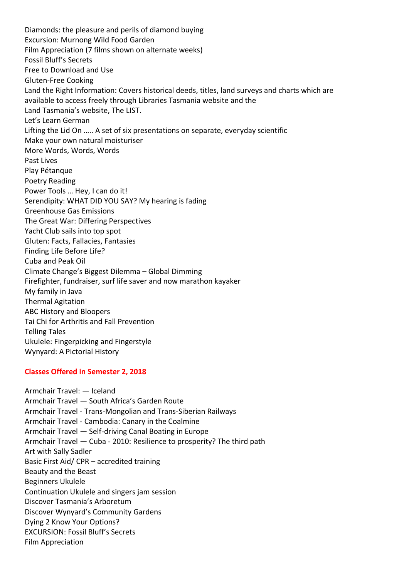Diamonds: the pleasure and perils of diamond buying Excursion: Murnong Wild Food Garden Film Appreciation (7 films shown on alternate weeks) Fossil Bluff's Secrets Free to Download and Use Gluten-Free Cooking Land the Right Information: Covers historical deeds, titles, land surveys and charts which are available to access freely through Libraries Tasmania website and the Land Tasmania's website, The LIST. Let's Learn German Lifting the Lid On ….. A set of six presentations on separate, everyday scientific Make your own natural moisturiser More Words, Words, Words Past Lives Play Pétanque Poetry Reading Power Tools … Hey, I can do it! Serendipity: WHAT DID YOU SAY? My hearing is fading Greenhouse Gas Emissions The Great War: Differing Perspectives Yacht Club sails into top spot Gluten: Facts, Fallacies, Fantasies Finding Life Before Life? Cuba and Peak Oil Climate Change's Biggest Dilemma – Global Dimming Firefighter, fundraiser, surf life saver and now marathon kayaker My family in Java Thermal Agitation ABC History and Bloopers Tai Chi for Arthritis and Fall Prevention Telling Tales Ukulele: Fingerpicking and Fingerstyle Wynyard: A Pictorial History

## **Classes Offered in Semester 2, 2018**

Armchair Travel: — Iceland Armchair Travel — South Africa's Garden Route Armchair Travel - Trans-Mongolian and Trans-Siberian Railways Armchair Travel - Cambodia: Canary in the Coalmine Armchair Travel — Self-driving Canal Boating in Europe Armchair Travel — Cuba - 2010: Resilience to prosperity? The third path Art with Sally Sadler Basic First Aid/ CPR – accredited training Beauty and the Beast Beginners Ukulele Continuation Ukulele and singers jam session Discover Tasmania's Arboretum Discover Wynyard's Community Gardens Dying 2 Know Your Options? EXCURSION: Fossil Bluff's Secrets Film Appreciation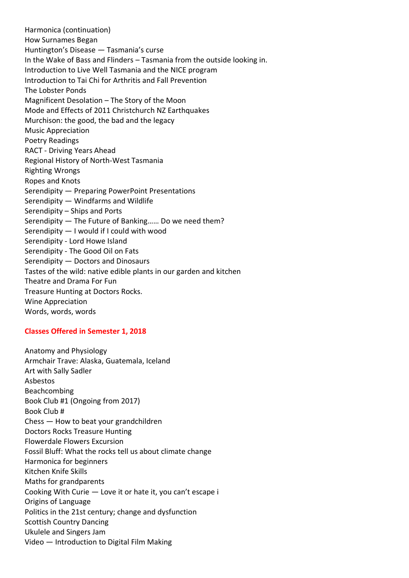Harmonica (continuation) How Surnames Began Huntington's Disease — Tasmania's curse In the Wake of Bass and Flinders – Tasmania from the outside looking in. Introduction to Live Well Tasmania and the NICE program Introduction to Tai Chi for Arthritis and Fall Prevention The Lobster Ponds Magnificent Desolation – The Story of the Moon Mode and Effects of 2011 Christchurch NZ Earthquakes Murchison: the good, the bad and the legacy Music Appreciation Poetry Readings RACT - Driving Years Ahead Regional History of North-West Tasmania Righting Wrongs Ropes and Knots Serendipity — Preparing PowerPoint Presentations Serendipity — Windfarms and Wildlife Serendipity – Ships and Ports Serendipity — The Future of Banking…… Do we need them? Serendipity — I would if I could with wood Serendipity - Lord Howe Island Serendipity - The Good Oil on Fats Serendipity — Doctors and Dinosaurs Tastes of the wild: native edible plants in our garden and kitchen Theatre and Drama For Fun Treasure Hunting at Doctors Rocks. Wine Appreciation Words, words, words

## **Classes Offered in Semester 1, 2018**

Anatomy and Physiology Armchair Trave: Alaska, Guatemala, Iceland Art with Sally Sadler Asbestos Beachcombing Book Club #1 (Ongoing from 2017) Book Club # Chess — How to beat your grandchildren Doctors Rocks Treasure Hunting Flowerdale Flowers Excursion Fossil Bluff: What the rocks tell us about climate change Harmonica for beginners Kitchen Knife Skills Maths for grandparents Cooking With Curie — Love it or hate it, you can't escape i Origins of Language Politics in the 21st century; change and dysfunction Scottish Country Dancing Ukulele and Singers Jam Video — Introduction to Digital Film Making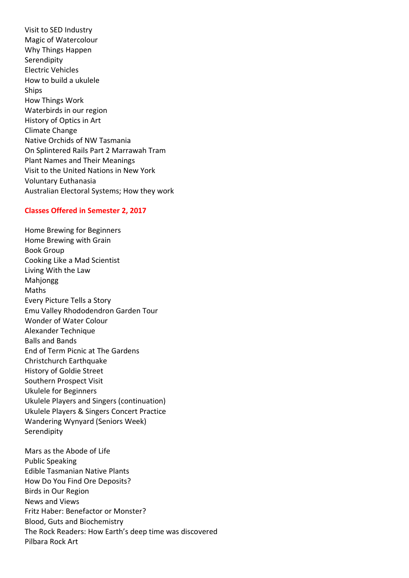Visit to SED Industry Magic of Watercolour Why Things Happen Serendipity Electric Vehicles How to build a ukulele **Ships** How Things Work Waterbirds in our region History of Optics in Art Climate Change Native Orchids of NW Tasmania On Splintered Rails Part 2 Marrawah Tram Plant Names and Their Meanings Visit to the United Nations in New York Voluntary Euthanasia Australian Electoral Systems; How they work

## **Classes Offered in Semester 2, 2017**

Home Brewing for Beginners Home Brewing with Grain Book Group Cooking Like a Mad Scientist Living With the Law Mahjongg Maths Every Picture Tells a Story Emu Valley Rhododendron Garden Tour Wonder of Water Colour Alexander Technique Balls and Bands End of Term Picnic at The Gardens Christchurch Earthquake History of Goldie Street Southern Prospect Visit Ukulele for Beginners Ukulele Players and Singers (continuation) Ukulele Players & Singers Concert Practice Wandering Wynyard (Seniors Week) **Serendipity** 

Mars as the Abode of Life Public Speaking Edible Tasmanian Native Plants How Do You Find Ore Deposits? Birds in Our Region News and Views Fritz Haber: Benefactor or Monster? Blood, Guts and Biochemistry The Rock Readers: How Earth's deep time was discovered Pilbara Rock Art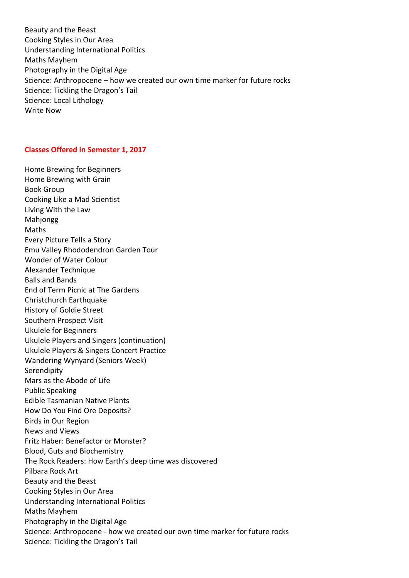Beauty and the Beast Cooking Styles in Our Area Understanding International Politics Maths Mayhem Photography in the Digital Age Science: Anthropocene – how we created our own time marker for future rocks Science: Tickling the Dragon's Tail Science: Local Lithology Write Now

#### **Classes Offered in Semester 1, 2017**

Home Brewing for Beginners Home Brewing with Grain Book Group Cooking Like a Mad Scientist Living With the Law Mahjongg Maths Every Picture Tells a Story Emu Valley Rhododendron Garden Tour Wonder of Water Colour Alexander Technique Balls and Bands End of Term Picnic at The Gardens Christchurch Earthquake History of Goldie Street Southern Prospect Visit Ukulele for Beginners Ukulele Players and Singers (continuation) Ukulele Players & Singers Concert Practice Wandering Wynyard (Seniors Week) Serendipity Mars as the Abode of Life Public Speaking Edible Tasmanian Native Plants How Do You Find Ore Deposits? Birds in Our Region News and Views Fritz Haber: Benefactor or Monster? Blood, Guts and Biochemistry The Rock Readers: How Earth's deep time was discovered Pilbara Rock Art Beauty and the Beast Cooking Styles in Our Area Understanding International Politics Maths Mayhem Photography in the Digital Age Science: Anthropocene - how we created our own time marker for future rocks Science: Tickling the Dragon's Tail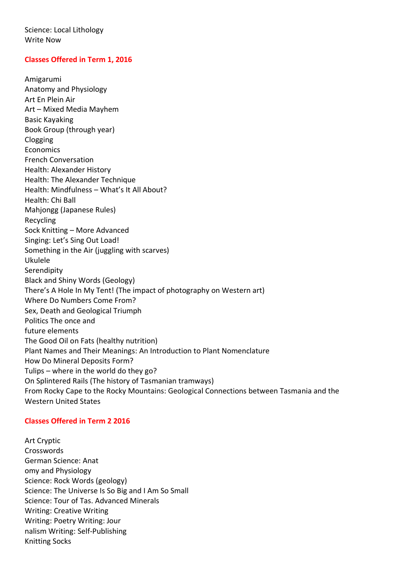Science: Local Lithology Write Now

## **Classes Offered in Term 1, 2016**

Amigarumi Anatomy and Physiology Art En Plein Air Art – Mixed Media Mayhem Basic Kayaking Book Group (through year) Clogging Economics French Conversation Health: Alexander History Health: The Alexander Technique Health: Mindfulness – What's It All About? Health: Chi Ball Mahjongg (Japanese Rules) Recycling Sock Knitting – More Advanced Singing: Let's Sing Out Load! Something in the Air (juggling with scarves) Ukulele Serendipity Black and Shiny Words (Geology) There's A Hole In My Tent! (The impact of photography on Western art) Where Do Numbers Come From? Sex, Death and Geological Triumph Politics The once and future elements The Good Oil on Fats (healthy nutrition) Plant Names and Their Meanings: An Introduction to Plant Nomenclature How Do Mineral Deposits Form? Tulips – where in the world do they go? On Splintered Rails (The history of Tasmanian tramways) From Rocky Cape to the Rocky Mountains: Geological Connections between Tasmania and the Western United States

#### **Classes Offered in Term 2 2016**

Art Cryptic Crosswords German Science: Anat omy and Physiology Science: Rock Words (geology) Science: The Universe Is So Big and I Am So Small Science: Tour of Tas. Advanced Minerals Writing: Creative Writing Writing: Poetry Writing: Jour nalism Writing: Self-Publishing Knitting Socks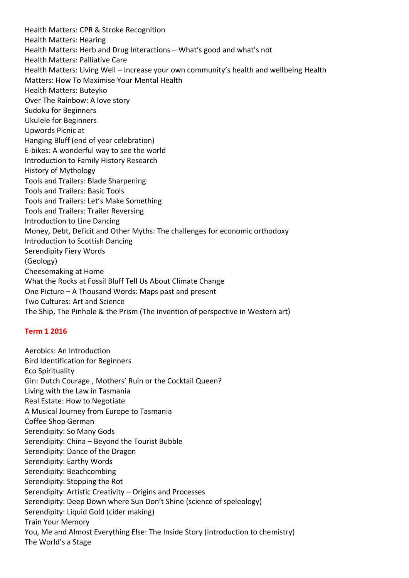Health Matters: CPR & Stroke Recognition Health Matters: Hearing Health Matters: Herb and Drug Interactions – What's good and what's not Health Matters: Palliative Care Health Matters: Living Well – Increase your own community's health and wellbeing Health Matters: How To Maximise Your Mental Health Health Matters: Buteyko Over The Rainbow: A love story Sudoku for Beginners Ukulele for Beginners Upwords Picnic at Hanging Bluff (end of year celebration) E-bikes: A wonderful way to see the world Introduction to Family History Research History of Mythology Tools and Trailers: Blade Sharpening Tools and Trailers: Basic Tools Tools and Trailers: Let's Make Something Tools and Trailers: Trailer Reversing Introduction to Line Dancing Money, Debt, Deficit and Other Myths: The challenges for economic orthodoxy Introduction to Scottish Dancing Serendipity Fiery Words (Geology) Cheesemaking at Home What the Rocks at Fossil Bluff Tell Us About Climate Change One Picture – A Thousand Words: Maps past and present Two Cultures: Art and Science The Ship, The Pinhole & the Prism (The invention of perspective in Western art)

## **Term 1 2016**

Aerobics: An Introduction Bird Identification for Beginners Eco Spirituality Gin: Dutch Courage , Mothers' Ruin or the Cocktail Queen? Living with the Law in Tasmania Real Estate: How to Negotiate A Musical Journey from Europe to Tasmania Coffee Shop German Serendipity: So Many Gods Serendipity: China – Beyond the Tourist Bubble Serendipity: Dance of the Dragon Serendipity: Earthy Words Serendipity: Beachcombing Serendipity: Stopping the Rot Serendipity: Artistic Creativity – Origins and Processes Serendipity: Deep Down where Sun Don't Shine (science of speleology) Serendipity: Liquid Gold (cider making) Train Your Memory You, Me and Almost Everything Else: The Inside Story (introduction to chemistry) The World's a Stage